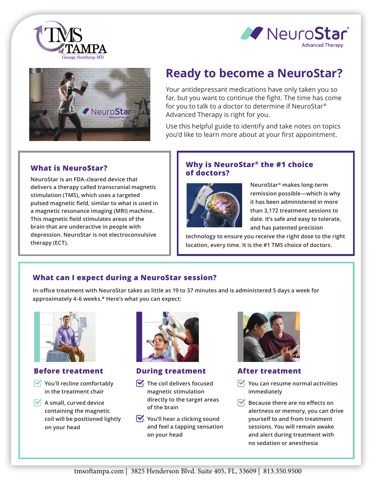





# **Ready to become a NeuroStar?**

Your antidepressant medications have only taken you so far, but you want to continue the fight. The time has come for you to talk to a doctor to determine if NeuroStar® Advanced Therapy is right for you.

Use this helpful guide to identify and take notes on topics you'd like to learn more about at your first appointment.

# **What is NeuroStar?**

**NeuroStar is an FDA-cleared device that delivers a therapy called transcranial magnetic stimulation (TMS), which uses a targeted pulsed magnetic field, similar to what is used in a magnetic resonance imaging (MRI) machine. This magnetic field stimulates areas of the brain that are underactive in people with depression. NeuroStar is not electroconvulsive therapy (ECT).**

#### **Why is NeuroStar® the #1 choice of doctors?**



**NeuroStar® makes long-term remission possible—which is why it has been administered in more than 3,172 treatment sessions to date. It's safe and easy to tolerate, and has patented precision** 

**technology to ensure you receive the right dose to the right location, every time. It is the #1 TMS choice of doctors.** 

# **What can I expect during a NeuroStar session?**

**In-office treatment with NeuroStar takes as little as 19 to 37 minutes and is administered 5 days a week for approximately 4-6 weeks.\* Here's what you can expect:**



## **Before treatment**

- **You'll recline comfortably in the treatment chair**
- **A** small, curved device **containing the magnetic coil will be positioned lightly on your head**



#### **During treatment**

- $\nabla$  The coil delivers focused **magnetic stimulation directly to the target areas of the brain**
- $\mathbf{V}_1$  You'll hear a clicking sound **and feel a tapping sensation on your head**



#### **After treatment**

- **You can resume normal activities immediately**
- $\mathbb{F}_1$  **Because there are no effects on alertness or memory, you can drive yourself to and from treatment sessions. You will remain awake and alert during treatment with no sedation or anesthesia**